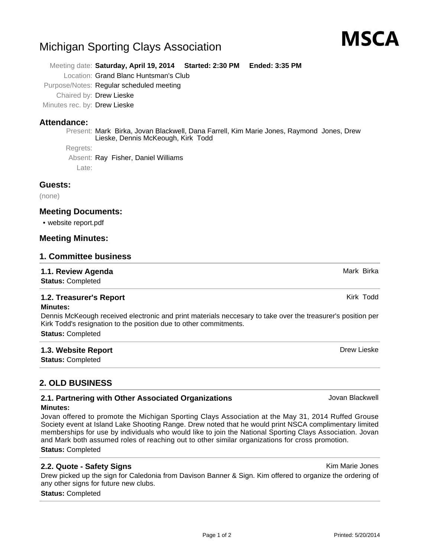#### Printed: 5/20/2014

# Michigan Sporting Clays Association

Meeting date: **Saturday, April 19, 2014 Started: 2:30 PM Ended: 3:35 PM**

Location: Grand Blanc Huntsman's Club

Purpose/Notes: Regular scheduled meeting

Chaired by: Drew Lieske

Minutes rec. by: Drew Lieske

#### **Attendance:**

Present: Mark Birka, Jovan Blackwell, Dana Farrell, Kim Marie Jones, Raymond Jones, Drew Lieske, Dennis McKeough, Kirk Todd

Regrets:

Absent: Ray Fisher, Daniel Williams

Late:

#### **Guests:**

(none)

#### **Meeting Documents:**

• website report.pdf

#### **Meeting Minutes:**

#### **1. Committee business**

#### **1.1. Review Agenda** Mark Birka Birka Agent Birka Agent Birka Agent Birka Agent Birka Agent Birka Agent Birka Agent

**Status:** Completed

#### **1.2. Treasurer's Report Kirk Todd Kirk Todd Kirk Todd Kirk Todd**

#### **Minutes:**

Dennis McKeough received electronic and print materials neccesary to take over the treasurer's position per Kirk Todd's resignation to the position due to other commitments. **Status:** Completed

#### **1.3. Website Report Drew Lieske Drew Lieske Drew Lieske Drew Lieske Drew Lieske**

**Status:** Completed

### **2. OLD BUSINESS**

#### **2.1. Partnering with Other Associated Organizations State of Associated Organizations Jovan Blackwell Minutes:**

Jovan offered to promote the Michigan Sporting Clays Association at the May 31, 2014 Ruffed Grouse Society event at Island Lake Shooting Range. Drew noted that he would print NSCA complimentary limited memberships for use by individuals who would like to join the National Sporting Clays Association. Jovan and Mark both assumed roles of reaching out to other similar organizations for cross promotion. **Status:** Completed

Drew picked up the sign for Caledonia from Davison Banner & Sign. Kim offered to organize the ordering of any other signs for future new clubs.

#### **Status:** Completed

MSCA

**2.2. Quote - Safety Signs** Kim Marie Jones

Page 1 of 2